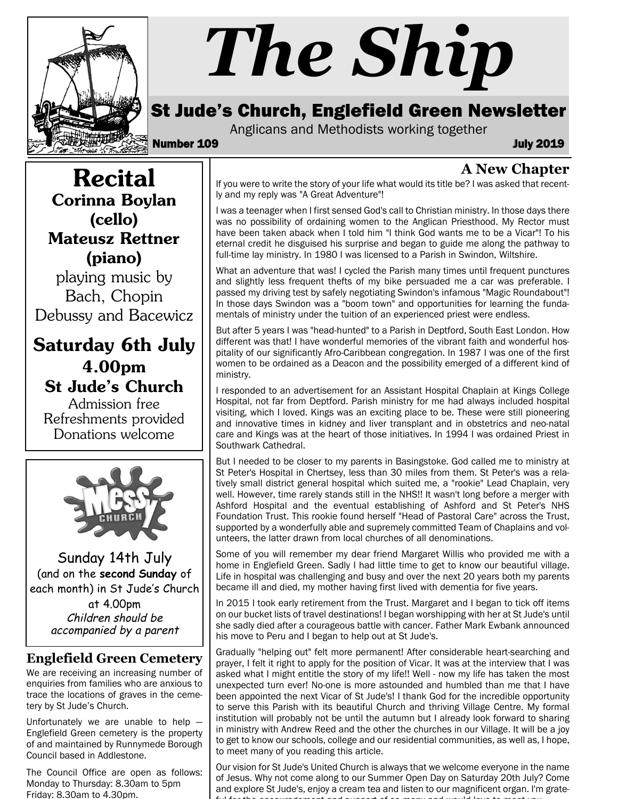

# *The Ship*

## St Jude's Church, Englefield Green Newsletter

Anglicans and Methodists working together

Number 109 July 2019

#### **A New Chapter**

If you were to write the story of your life what would its title be? I was asked that recently and my reply was "A Great Adventure"!

I was a teenager when I first sensed God's call to Christian ministry. In those days there was no possibility of ordaining women to the Anglican Priesthood. My Rector must have been taken aback when I told him "I think God wants me to be a Vicar"! To his eternal credit he disguised his surprise and began to guide me along the pathway to full-time lay ministry. In 1980 I was licensed to a Parish in Swindon, Wiltshire.

What an adventure that was! I cycled the Parish many times until frequent punctures and slightly less frequent thefts of my bike persuaded me a car was preferable. I passed my driving test by safely negotiating Swindon's infamous "Magic Roundabout"! In those days Swindon was a "boom town" and opportunities for learning the fundamentals of ministry under the tuition of an experienced priest were endless.

But after 5 years I was "head-hunted" to a Parish in Deptford, South East London. How different was that! I have wonderful memories of the vibrant faith and wonderful hospitality of our significantly Afro-Caribbean congregation. In 1987 I was one of the first women to be ordained as a Deacon and the possibility emerged of a different kind of ministry.

I responded to an advertisement for an Assistant Hospital Chaplain at Kings College Hospital, not far from Deptford. Parish ministry for me had always included hospital visiting, which I loved. Kings was an exciting place to be. These were still pioneering and innovative times in kidney and liver transplant and in obstetrics and neo-natal care and Kings was at the heart of those initiatives. In 1994 I was ordained Priest in Southwark Cathedral.

But I needed to be closer to my parents in Basingstoke. God called me to ministry at St Peter's Hospital in Chertsey, less than 30 miles from them. St Peter's was a relatively small district general hospital which suited me, a "rookie" Lead Chaplain, very well. However, time rarely stands still in the NHS!! It wasn't long before a merger with Ashford Hospital and the eventual establishing of Ashford and St Peter's NHS Foundation Trust. This rookie found herself "Head of Pastoral Care" across the Trust, supported by a wonderfully able and supremely committed Team of Chaplains and volunteers, the latter drawn from local churches of all denominations.

Some of you will remember my dear friend Margaret Willis who provided me with a home in Englefield Green. Sadly I had little time to get to know our beautiful village. Life in hospital was challenging and busy and over the next 20 years both my parents became ill and died, my mother having first lived with dementia for five years.

In 2015 I took early retirement from the Trust. Margaret and I began to tick off items on our bucket lists of travel destinations! I began worshipping with her at St Jude's until she sadly died after a courageous battle with cancer. Father Mark Ewbank announced his move to Peru and I began to help out at St Jude's.

Gradually "helping out" felt more permanent! After considerable heart-searching and prayer, I felt it right to apply for the position of Vicar. It was at the interview that I was asked what I might entitle the story of my life!! Well - now my life has taken the most unexpected turn ever! No-one is more astounded and humbled than me that I have been appointed the next Vicar of St Jude's! I thank God for the incredible opportunity to serve this Parish with its beautiful Church and thriving Village Centre. My formal institution will probably not be until the autumn but I already look forward to sharing in ministry with Andrew Reed and the other the churches in our Village. It will be a joy to get to know our schools, college and our residential communities, as well as, I hope, to meet many of you reading this article.

Our vision for St Jude's United Church is always that we welcome everyone in the name of Jesus. Why not come along to our Summer Open Day on Saturday 20th July? Come and explore St Jude's, enjoy a cream tea and listen to our magnificent organ. I'm grateful for the encouragement and support of so many and would love to meet you.

Corinna Boylan (cello) Mateusz Rettner (piano)

Recital

playing music by Bach, Chopin Debussy and Bacewicz

Saturday 6th July 4.00pm St Jude's Church

Admission free Refreshments provided Donations welcome



Sunday 14th July (and on the **second Sunday** of each month) in St Jude's Church at 4.00pm Children should be accompanied by a parent

#### **Englefield Green Cemetery**

We are receiving an increasing number of enquiries from families who are anxious to trace the locations of graves in the cemetery by St Jude's Church.

Unfortunately we are unable to help — Englefield Green cemetery is the property of and maintained by Runnymede Borough Council based in Addlestone.

The Council Office are open as follows: Monday to Thursday: 8.30am to 5pm Friday: 8.30am to 4.30pm.